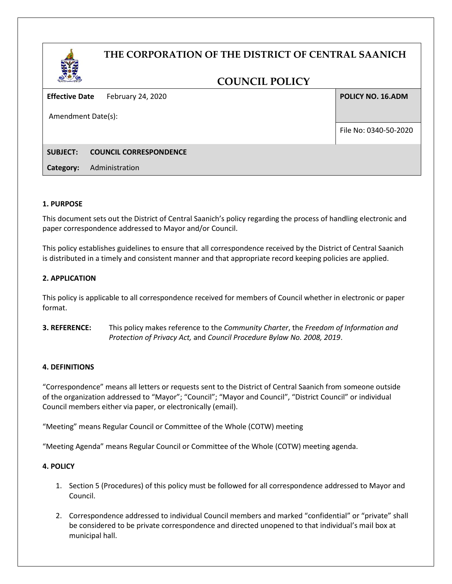# **THE CORPORATION OF THE DISTRICT OF CENTRAL SAANICH**

# **COUNCIL POLICY**

**Effective Date** February 24, 2020

Amendment Date(s):

**POLICY NO. 16.ADM**

File No: 0340-50-2020

# **SUBJECT: COUNCIL CORRESPONDENCE**

**Category:** Administration

## **1. PURPOSE**

This document sets out the District of Central Saanich's policy regarding the process of handling electronic and paper correspondence addressed to Mayor and/or Council.

This policy establishes guidelines to ensure that all correspondence received by the District of Central Saanich is distributed in a timely and consistent manner and that appropriate record keeping policies are applied.

## **2. APPLICATION**

This policy is applicable to all correspondence received for members of Council whether in electronic or paper format.

**3. REFERENCE:** This policy makes reference to the *Community Charter*, the *Freedom of Information and Protection of Privacy Act,* and *Council Procedure Bylaw No. 2008, 2019*.

## **4. DEFINITIONS**

"Correspondence" means all letters or requests sent to the District of Central Saanich from someone outside of the organization addressed to "Mayor"; "Council"; "Mayor and Council", "District Council" or individual Council members either via paper, or electronically (email).

"Meeting" means Regular Council or Committee of the Whole (COTW) meeting

"Meeting Agenda" means Regular Council or Committee of the Whole (COTW) meeting agenda.

# **4. POLICY**

- 1. Section 5 (Procedures) of this policy must be followed for all correspondence addressed to Mayor and Council.
- 2. Correspondence addressed to individual Council members and marked "confidential" or "private" shall be considered to be private correspondence and directed unopened to that individual's mail box at municipal hall.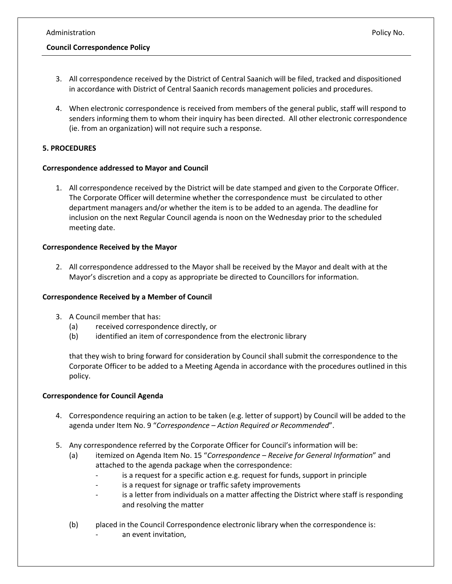# **Council Correspondence Policy**

- 3. All correspondence received by the District of Central Saanich will be filed, tracked and dispositioned in accordance with District of Central Saanich records management policies and procedures.
- 4. When electronic correspondence is received from members of the general public, staff will respond to senders informing them to whom their inquiry has been directed. All other electronic correspondence (ie. from an organization) will not require such a response.

# **5. PROCEDURES**

## **Correspondence addressed to Mayor and Council**

1. All correspondence received by the District will be date stamped and given to the Corporate Officer. The Corporate Officer will determine whether the correspondence must be circulated to other department managers and/or whether the item is to be added to an agenda. The deadline for inclusion on the next Regular Council agenda is noon on the Wednesday prior to the scheduled meeting date.

#### **Correspondence Received by the Mayor**

2. All correspondence addressed to the Mayor shall be received by the Mayor and dealt with at the Mayor's discretion and a copy as appropriate be directed to Councillors for information.

## **Correspondence Received by a Member of Council**

- 3. A Council member that has:
	- (a) received correspondence directly, or
	- (b) identified an item of correspondence from the electronic library

that they wish to bring forward for consideration by Council shall submit the correspondence to the Corporate Officer to be added to a Meeting Agenda in accordance with the procedures outlined in this policy.

## **Correspondence for Council Agenda**

- 4. Correspondence requiring an action to be taken (e.g. letter of support) by Council will be added to the agenda under Item No. 9 "*Correspondence – Action Required or Recommended*".
- 5. Any correspondence referred by the Corporate Officer for Council's information will be:
	- (a) itemized on Agenda Item No. 15 "*Correspondence – Receive for General Information*" and attached to the agenda package when the correspondence:
		- is a request for a specific action e.g. request for funds, support in principle
		- is a request for signage or traffic safety improvements
		- is a letter from individuals on a matter affecting the District where staff is responding and resolving the matter
	- (b) placed in the Council Correspondence electronic library when the correspondence is: an event invitation,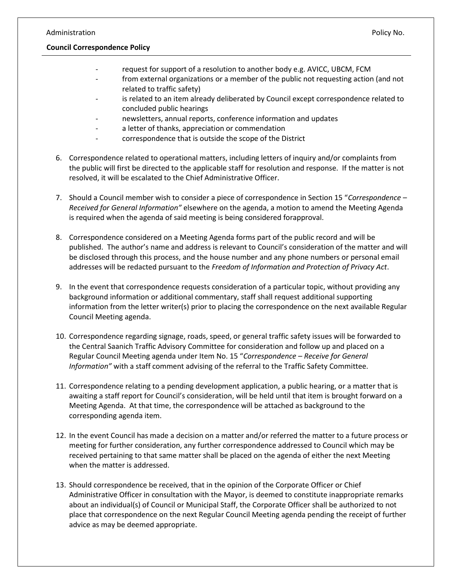#### **Council Correspondence Policy**

- request for support of a resolution to another body e.g. AVICC, UBCM, FCM
- from external organizations or a member of the public not requesting action (and not related to traffic safety)
- is related to an item already deliberated by Council except correspondence related to concluded public hearings
- newsletters, annual reports, conference information and updates
- a letter of thanks, appreciation or commendation
- correspondence that is outside the scope of the District
- 6. Correspondence related to operational matters, including letters of inquiry and/or complaints from the public will first be directed to the applicable staff for resolution and response. If the matter is not resolved, it will be escalated to the Chief Administrative Officer.
- 7. Should a Council member wish to consider a piece of correspondence in Section 15 "*Correspondence – Received for General Information"* elsewhere on the agenda, a motion to amend the Meeting Agenda is required when the agenda of said meeting is being considered forapproval.
- 8. Correspondence considered on a Meeting Agenda forms part of the public record and will be published. The author's name and address is relevant to Council's consideration of the matter and will be disclosed through this process, and the house number and any phone numbers or personal email addresses will be redacted pursuant to the *Freedom of Information and Protection of Privacy Act*.
- 9. In the event that correspondence requests consideration of a particular topic, without providing any background information or additional commentary, staff shall request additional supporting information from the letter writer(s) prior to placing the correspondence on the next available Regular Council Meeting agenda.
- 10. Correspondence regarding signage, roads, speed, or general traffic safety issues will be forwarded to the Central Saanich Traffic Advisory Committee for consideration and follow up and placed on a Regular Council Meeting agenda under Item No. 15 "*Correspondence – Receive for General Information"* with a staff comment advising of the referral to the Traffic Safety Committee.
- 11. Correspondence relating to a pending development application, a public hearing, or a matter that is awaiting a staff report for Council's consideration, will be held until that item is brought forward on a Meeting Agenda. At that time, the correspondence will be attached as background to the corresponding agenda item.
- 12. In the event Council has made a decision on a matter and/or referred the matter to a future process or meeting for further consideration, any further correspondence addressed to Council which may be received pertaining to that same matter shall be placed on the agenda of either the next Meeting when the matter is addressed.
- 13. Should correspondence be received, that in the opinion of the Corporate Officer or Chief Administrative Officer in consultation with the Mayor, is deemed to constitute inappropriate remarks about an individual(s) of Council or Municipal Staff, the Corporate Officer shall be authorized to not place that correspondence on the next Regular Council Meeting agenda pending the receipt of further advice as may be deemed appropriate.